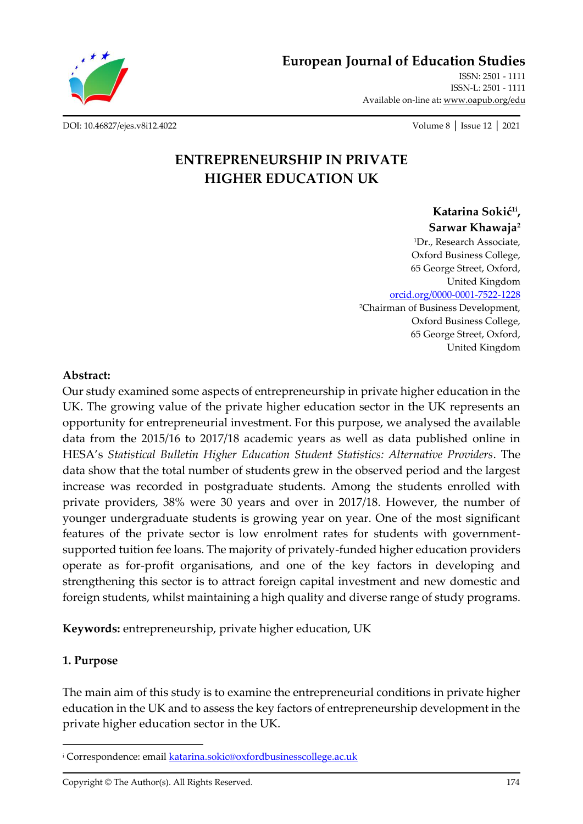

**[European Journal of Education Studies](http://oapub.org/edu/index.php/ejes)**

[ISSN: 2501 -](http://oapub.org/edu/index.php/ejes) 1111 [ISSN-L: 2501 -](http://oapub.org/edu/index.php/ejes) 1111 Available on-line at**:** [www.oapub.org/edu](http://www.oapub.org/edu)

[DOI: 10.46827/ejes.v8i12.4022](http://dx.doi.org/10.46827/ejes.v8i12.4022) Volume 8 │ Issue 12 │ 2021

# **ENTREPRENEURSHIP IN PRIVATE HIGHER EDUCATION UK**

**Katarina Sokić1i , Sarwar Khawaja<sup>2</sup>** <sup>1</sup>Dr., Research Associate, Oxford Business College, 65 George Street, Oxford, United Kingdom [orcid.org/0000-0001-7522-1228](https://orcid.org/0000-0001-7522-1228) <sup>2</sup>Chairman of Business Development, Oxford Business College, 65 George Street, Oxford, United Kingdom

#### **Abstract:**

Our study examined some aspects of entrepreneurship in private higher education in the UK. The growing value of the private higher education sector in the UK represents an opportunity for entrepreneurial investment. For this purpose, we analysed the available data from the 2015/16 to 2017/18 academic years as well as data published online in HESA's *Statistical Bulletin Higher Education Student Statistics: Alternative Providers*. The data show that the total number of students grew in the observed period and the largest increase was recorded in postgraduate students. Among the students enrolled with private providers, 38% were 30 years and over in 2017/18. However, the number of younger undergraduate students is growing year on year. One of the most significant features of the private sector is low enrolment rates for students with governmentsupported tuition fee loans. The majority of privately-funded higher education providers operate as for-profit organisations, and one of the key factors in developing and strengthening this sector is to attract foreign capital investment and new domestic and foreign students, whilst maintaining a high quality and diverse range of study programs.

**Keywords:** entrepreneurship, private higher education, UK

### **1. Purpose**

The main aim of this study is to examine the entrepreneurial conditions in private higher education in the UK and to assess the key factors of entrepreneurship development in the private higher education sector in the UK.

Copyright © The Author(s). All Rights Reserved. 174

<sup>&</sup>lt;sup>i</sup> Correspondence: emai[l katarina.sokic@oxfordbusinesscollege.ac.uk](mailto:katarina.sokic@oxfordbusinesscollege.ac.uk)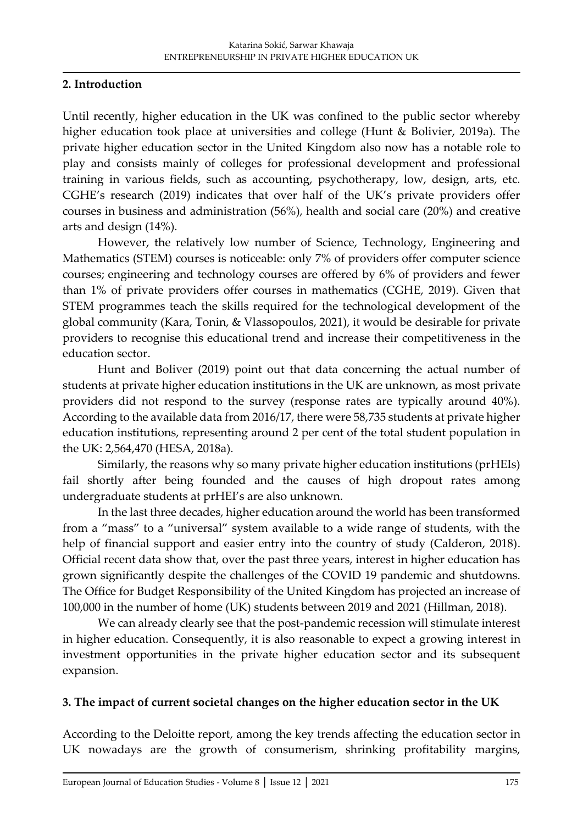## **2. Introduction**

Until recently, higher education in the UK was confined to the public sector whereby higher education took place at universities and college (Hunt & Bolivier, 2019a). The private higher education sector in the United Kingdom also now has a notable role to play and consists mainly of colleges for professional development and professional training in various fields, such as accounting, psychotherapy, low, design, arts, etc. CGHE's research (2019) indicates that over half of the UK's private providers offer courses in business and administration (56%), health and social care (20%) and creative arts and design (14%).

However, the relatively low number of Science, Technology, Engineering and Mathematics (STEM) courses is noticeable: only 7% of providers offer computer science courses; engineering and technology courses are offered by 6% of providers and fewer than 1% of private providers offer courses in mathematics (CGHE, 2019). Given that STEM programmes teach the skills required for the technological development of the global community (Kara, Tonin, & Vlassopoulos, 2021), it would be desirable for private providers to recognise this educational trend and increase their competitiveness in the education sector.

Hunt and Boliver (2019) point out that data concerning the actual number of students at private higher education institutions in the UK are unknown, as most private providers did not respond to the survey (response rates are typically around 40%). According to the available data from 2016/17, there were 58,735 students at private higher education institutions, representing around 2 per cent of the total student population in the UK: 2,564,470 (HESA, 2018a).

Similarly, the reasons why so many private higher education institutions (prHEIs) fail shortly after being founded and the causes of high dropout rates among undergraduate students at prHEI's are also unknown.

In the last three decades, higher education around the world has been transformed from a "mass" to a "universal" system available to a wide range of students, with the help of financial support and easier entry into the country of study (Calderon, 2018). Official recent data show that, over the past three years, interest in higher education has grown significantly despite the challenges of the COVID 19 pandemic and shutdowns. The Office for Budget Responsibility of the United Kingdom has projected an increase of 100,000 in the number of home (UK) students between 2019 and 2021 (Hillman, 2018).

We can already clearly see that the post-pandemic recession will stimulate interest in higher education. Consequently, it is also reasonable to expect a growing interest in investment opportunities in the private higher education sector and its subsequent expansion.

### **3. The impact of current societal changes on the higher education sector in the UK**

According to the Deloitte report, among the key trends affecting the education sector in UK nowadays are the growth of consumerism, shrinking profitability margins,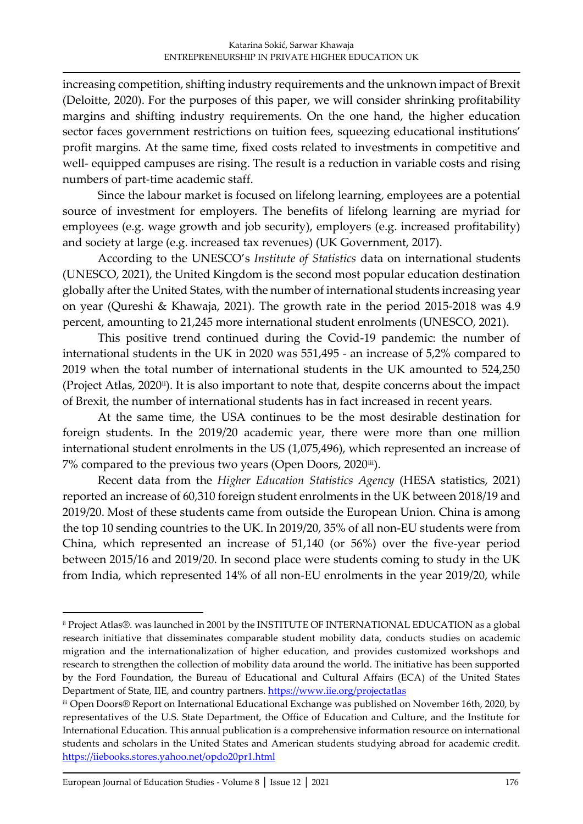increasing competition, shifting industry requirements and the unknown impact of Brexit (Deloitte, 2020). For the purposes of this paper, we will consider shrinking profitability margins and shifting industry requirements. On the one hand, the higher education sector faces government restrictions on tuition fees, squeezing educational institutions' profit margins. At the same time, fixed costs related to investments in competitive and well- equipped campuses are rising. The result is a reduction in variable costs and rising numbers of part-time academic staff.

Since the labour market is focused on lifelong learning, employees are a potential source of investment for employers. The benefits of lifelong learning are myriad for employees (e.g. wage growth and job security), employers (e.g. increased profitability) and society at large (e.g. increased tax revenues) (UK Government, 2017).

According to the UNESCO's *Institute of Statistics* data on international students (UNESCO, 2021), the United Kingdom is the second most popular education destination globally after the United States, with the number of international students increasing year on year (Qureshi & Khawaja, 2021). The growth rate in the period 2015-2018 was 4.9 percent, amounting to 21,245 more international student enrolments (UNESCO, 2021).

This positive trend continued during the Covid-19 pandemic: the number of international students in the UK in 2020 was 551,495 - an increase of 5,2% compared to 2019 when the total number of international students in the UK amounted to 524,250 (Project Atlas, 2020<sup>ii</sup>). It is also important to note that, despite concerns about the impact of Brexit, the number of international students has in fact increased in recent years.

At the same time, the USA continues to be the most desirable destination for foreign students. In the 2019/20 academic year, there were more than one million international student enrolments in the US (1,075,496), which represented an increase of 7% compared to the previous two years (Open Doors, 2020iii).

Recent data from the *Higher Education Statistics Agency* (HESA statistics, 2021) reported an increase of 60,310 foreign student enrolments in the UK between 2018/19 and 2019/20. Most of these students came from outside the European Union. China is among the top 10 sending countries to the UK. In 2019/20, 35% of all non-EU students were from China, which represented an increase of 51,140 (or 56%) over the five-year period between 2015/16 and 2019/20. In second place were students coming to study in the UK from India, which represented 14% of all non-EU enrolments in the year 2019/20, while

ii Project Atlas®. was launched in 2001 by the INSTITUTE OF INTERNATIONAL EDUCATION as a global research initiative that disseminates comparable student mobility data, conducts studies on academic migration and the internationalization of higher education, and provides customized workshops and research to strengthen the collection of mobility data around the world. The initiative has been supported by the Ford Foundation, the Bureau of Educational and Cultural Affairs (ECA) of the United States Department of State, IIE, and country partners.<https://www.iie.org/projectatlas>

iii Open Doors® Report on International Educational Exchange was published on November 16th, 2020, by representatives of the U.S. State Department, the Office of Education and Culture, and the Institute for International Education. This annual publication is a comprehensive information resource on international students and scholars in the United States and American students studying abroad for academic credit. <https://iiebooks.stores.yahoo.net/opdo20pr1.html>

[European Journal of Education Studies -](http://oapub.org/edu/index.php/ejes) Volume 8 [│](http://oapub.org/edu/index.php/ejes) [Issue 12](http://oapub.org/edu/index.php/ejes) [│](http://oapub.org/edu/index.php/ejes) [2021](http://oapub.org/edu/index.php/ejes) 176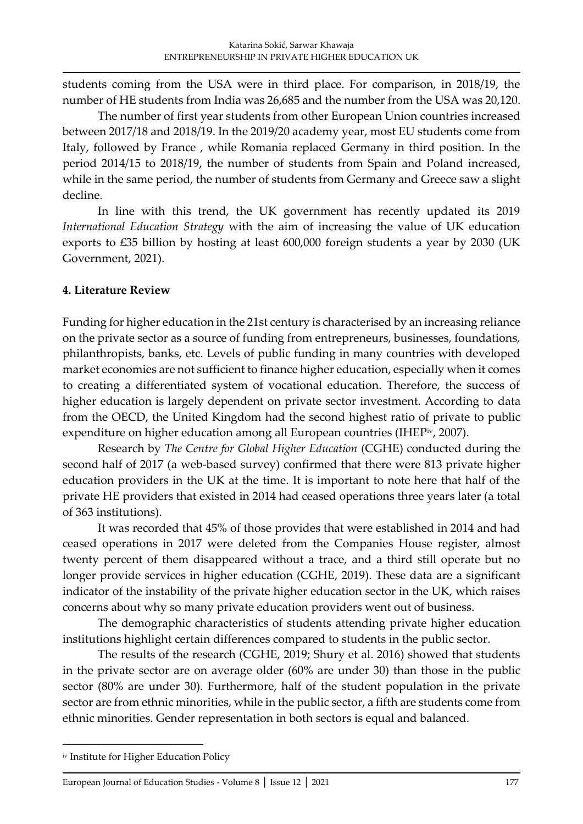students coming from the USA were in third place. For comparison, in 2018/19, the number of HE students from India was 26,685 and the number from the USA was 20,120.

The number of first year students from other European Union countries increased between 2017/18 and 2018/19. In the 2019/20 academy year, most EU students come from Italy, followed by France , while Romania replaced Germany in third position. In the period 2014/15 to 2018/19, the number of students from Spain and Poland increased, while in the same period, the number of students from Germany and Greece saw a slight decline.

In line with this trend, the UK government has recently updated its 2019 *International Education Strategy* with the aim of increasing the value of UK education exports to £35 billion by hosting at least 600,000 foreign students a year by 2030 (UK Government, 2021).

### **4. Literature Review**

Funding for higher education in the 21st century is characterised by an increasing reliance on the private sector as a source of funding from entrepreneurs, businesses, foundations, philanthropists, banks, etc. Levels of public funding in many countries with developed market economies are not sufficient to finance higher education, especially when it comes to creating a differentiated system of vocational education. Therefore, the success of higher education is largely dependent on private sector investment. According to data from the OECD, the United Kingdom had the second highest ratio of private to public expenditure on higher education among all European countries (IHEPiv, 2007).

Research by *The Centre for Global Higher Education* (CGHE) conducted during the second half of 2017 (a web-based survey) confirmed that there were 813 private higher education providers in the UK at the time. It is important to note here that half of the private HE providers that existed in 2014 had ceased operations three years later (a total of 363 institutions).

It was recorded that 45% of those provides that were established in 2014 and had ceased operations in 2017 were deleted from the Companies House register, almost twenty percent of them disappeared without a trace, and a third still operate but no longer provide services in higher education (CGHE, 2019). These data are a significant indicator of the instability of the private higher education sector in the UK, which raises concerns about why so many private education providers went out of business.

The demographic characteristics of students attending private higher education institutions highlight certain differences compared to students in the public sector.

The results of the research (CGHE, 2019; Shury et al. 2016) showed that students in the private sector are on average older (60% are under 30) than those in the public sector (80% are under 30). Furthermore, half of the student population in the private sector are from ethnic minorities, while in the public sector, a fifth are students come from ethnic minorities. Gender representation in both sectors is equal and balanced.

iv Institute for Higher Education Policy

[European Journal of Education Studies -](http://oapub.org/edu/index.php/ejes) Volume 8 [│](http://oapub.org/edu/index.php/ejes) [Issue 12](http://oapub.org/edu/index.php/ejes) [│](http://oapub.org/edu/index.php/ejes) [2021](http://oapub.org/edu/index.php/ejes) 177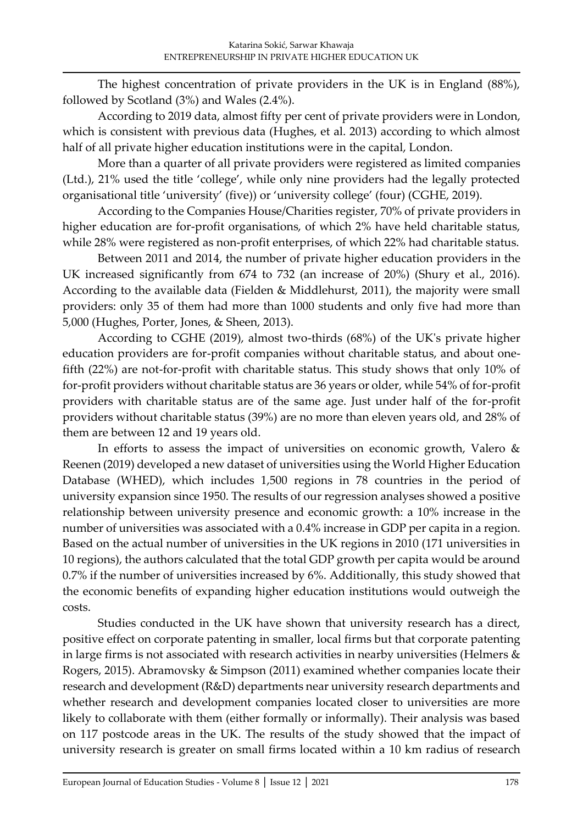The highest concentration of private providers in the UK is in England (88%), followed by Scotland (3%) and Wales (2.4%).

According to 2019 data, almost fifty per cent of private providers were in London, which is consistent with previous data (Hughes, et al. 2013) according to which almost half of all private higher education institutions were in the capital, London.

More than a quarter of all private providers were registered as limited companies (Ltd.), 21% used the title 'college', while only nine providers had the legally protected organisational title 'university' (five)) or 'university college' (four) (CGHE, 2019).

According to the Companies House/Charities register, 70% of private providers in higher education are for-profit organisations, of which 2% have held charitable status, while 28% were registered as non-profit enterprises, of which 22% had charitable status.

Between 2011 and 2014, the number of private higher education providers in the UK increased significantly from 674 to 732 (an increase of 20%) (Shury et al., 2016). According to the available data (Fielden & Middlehurst, 2011), the majority were small providers: only 35 of them had more than 1000 students and only five had more than 5,000 (Hughes, Porter, Jones, & Sheen, 2013).

According to CGHE (2019), almost two-thirds (68%) of the UK's private higher education providers are for-profit companies without charitable status, and about onefifth (22%) are not-for-profit with charitable status. This study shows that only 10% of for-profit providers without charitable status are 36 years or older, while 54% of for-profit providers with charitable status are of the same age. Just under half of the for-profit providers without charitable status (39%) are no more than eleven years old, and 28% of them are between 12 and 19 years old.

In efforts to assess the impact of universities on economic growth, Valero & Reenen (2019) developed a new dataset of universities using the World Higher Education Database (WHED), which includes 1,500 regions in 78 countries in the period of university expansion since 1950. The results of our regression analyses showed a positive relationship between university presence and economic growth: a 10% increase in the number of universities was associated with a 0.4% increase in GDP per capita in a region. Based on the actual number of universities in the UK regions in 2010 (171 universities in 10 regions), the authors calculated that the total GDP growth per capita would be around 0.7% if the number of universities increased by 6%. Additionally, this study showed that the economic benefits of expanding higher education institutions would outweigh the costs.

Studies conducted in the UK have shown that university research has a direct, positive effect on corporate patenting in smaller, local firms but that corporate patenting in large firms is not associated with research activities in nearby universities (Helmers & Rogers, 2015). Abramovsky & Simpson (2011) examined whether companies locate their research and development (R&D) departments near university research departments and whether research and development companies located closer to universities are more likely to collaborate with them (either formally or informally). Their analysis was based on 117 postcode areas in the UK. The results of the study showed that the impact of university research is greater on small firms located within a 10 km radius of research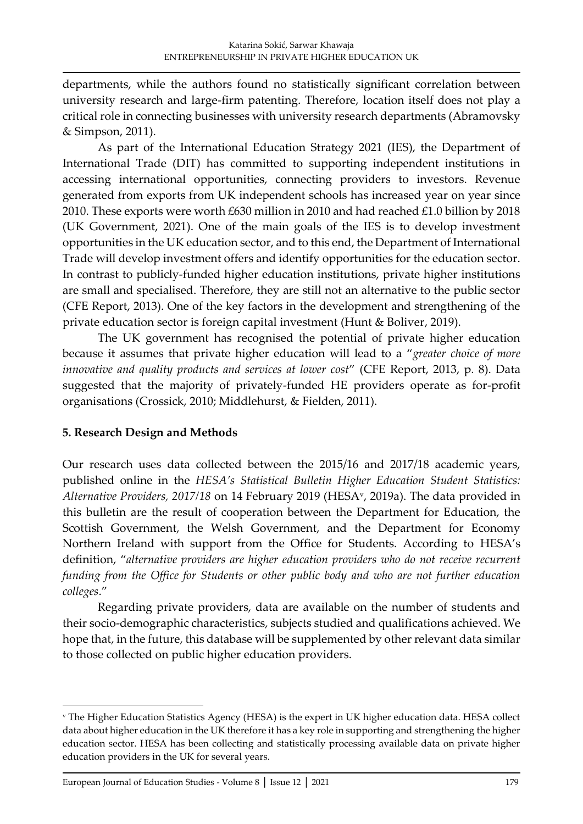departments, while the authors found no statistically significant correlation between university research and large-firm patenting. Therefore, location itself does not play a critical role in connecting businesses with university research departments (Abramovsky & Simpson, 2011).

As part of the International Education Strategy 2021 (IES), the Department of International Trade (DIT) has committed to supporting independent institutions in accessing international opportunities, connecting providers to investors. Revenue generated from exports from UK independent schools has increased year on year since 2010. These exports were worth £630 million in 2010 and had reached £1.0 billion by 2018 (UK Government, 2021). One of the main goals of the IES is to develop investment opportunities in the UK education sector, and to this end, the Department of International Trade will develop investment offers and identify opportunities for the education sector. In contrast to publicly-funded higher education institutions, private higher institutions are small and specialised. Therefore, they are still not an alternative to the public sector (CFE Report, 2013). One of the key factors in the development and strengthening of the private education sector is foreign capital investment (Hunt & Boliver, 2019).

The UK government has recognised the potential of private higher education because it assumes that private higher education will lead to a "*greater choice of more innovative and quality products and services at lower cost*" (CFE Report, 2013, p. 8). Data suggested that the majority of privately-funded HE providers operate as for-profit organisations (Crossick, 2010; Middlehurst, & Fielden, 2011).

### **5. Research Design and Methods**

Our research uses data collected between the 2015/16 and 2017/18 academic years, published online in the *HESA's Statistical Bulletin Higher Education Student Statistics: Alternative Providers, 2017/18* on 14 February 2019 (HESA<sup>v</sup> , 2019a). The data provided in this bulletin are the result of cooperation between the Department for Education, the Scottish Government, the Welsh Government, and the Department for Economy Northern Ireland with support from the Office for Students. According to HESA's definition, "*alternative providers are higher education providers who do not receive recurrent funding from the Office for Students or other public body and who are not further education colleges*."

Regarding private providers, data are available on the number of students and their socio-demographic characteristics, subjects studied and qualifications achieved. We hope that, in the future, this database will be supplemented by other relevant data similar to those collected on public higher education providers.

<sup>v</sup> The Higher Education Statistics Agency (HESA) is the expert in UK higher education data. HESA collect data about higher education in the UK therefore it has a key role in supporting and strengthening the higher education sector. HESA has been collecting and statistically processing available data on private higher education providers in the UK for several years.

[European Journal of Education Studies -](http://oapub.org/edu/index.php/ejes) Volume 8 [│](http://oapub.org/edu/index.php/ejes) [Issue 12](http://oapub.org/edu/index.php/ejes) [│](http://oapub.org/edu/index.php/ejes) [2021](http://oapub.org/edu/index.php/ejes) 179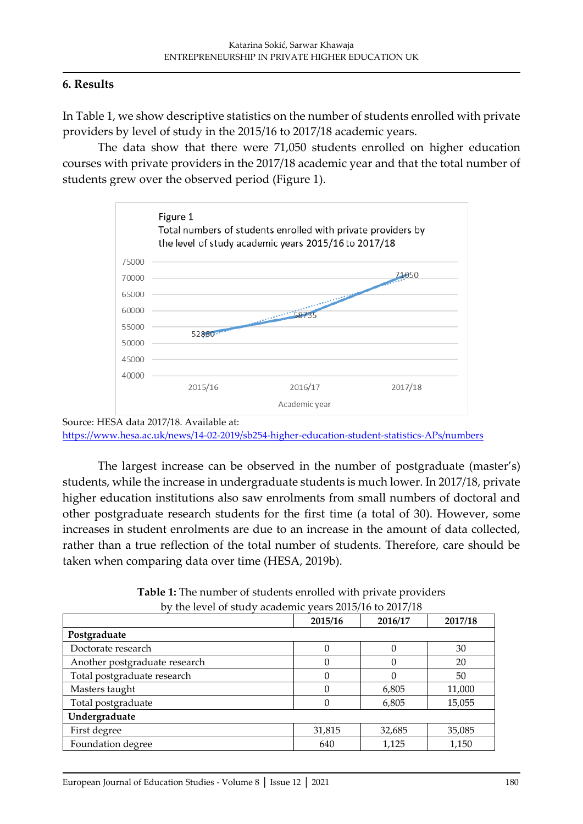### **6. Results**

In Table 1, we show descriptive statistics on the number of students enrolled with private providers by level of study in the 2015/16 to 2017/18 academic years.

The data show that there were 71,050 students enrolled on higher education courses with private providers in the 2017/18 academic year and that the total number of students grew over the observed period (Figure 1).



Source: HESA data 2017/18. Available at: <https://www.hesa.ac.uk/news/14-02-2019/sb254-higher-education-student-statistics-APs/numbers>

The largest increase can be observed in the number of postgraduate (master's) students, while the increase in undergraduate students is much lower. In 2017/18, private higher education institutions also saw enrolments from small numbers of doctoral and other postgraduate research students for the first time (a total of 30). However, some increases in student enrolments are due to an increase in the amount of data collected, rather than a true reflection of the total number of students. Therefore, care should be taken when comparing data over time (HESA, 2019b).

**Table 1:** The number of students enrolled with private providers by the level of study academic years 2015/16 to 2017/18

| $\mathfrak{m}$ . The contract $\mathfrak{m}$ is the contract of $\mathfrak{m}$ |         | $10410 = 010110$ to $2011110$ |         |  |
|--------------------------------------------------------------------------------|---------|-------------------------------|---------|--|
|                                                                                | 2015/16 | 2016/17                       | 2017/18 |  |
| Postgraduate                                                                   |         |                               |         |  |
| Doctorate research                                                             | 0       |                               | 30      |  |
| Another postgraduate research                                                  |         |                               | 20      |  |
| Total postgraduate research                                                    | 0       |                               | 50      |  |
| Masters taught                                                                 | 0       | 6,805                         | 11,000  |  |
| Total postgraduate                                                             |         | 6,805                         | 15,055  |  |
| Undergraduate                                                                  |         |                               |         |  |
| First degree                                                                   | 31,815  | 32,685                        | 35,085  |  |
| Foundation degree                                                              | 640     | 1,125                         | 1,150   |  |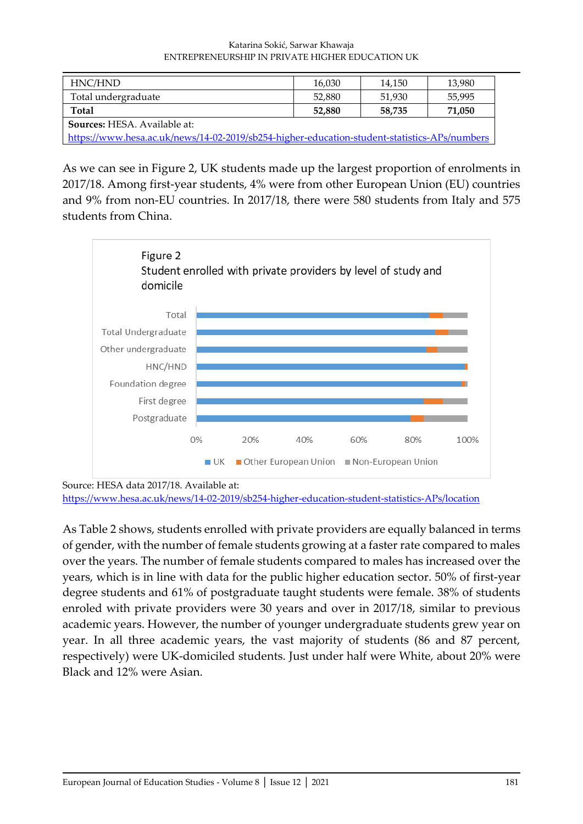#### Katarina Sokić, Sarwar Khawaja ENTREPRENEURSHIP IN PRIVATE HIGHER EDUCATION UK

| HNC/HND                                                                                      | 16,030 | 14,150 | 13,980 |
|----------------------------------------------------------------------------------------------|--------|--------|--------|
| Total undergraduate                                                                          | 52,880 | 51,930 | 55,995 |
| <b>Total</b>                                                                                 | 52,880 | 58,735 | 71,050 |
| <b>Sources: HESA. Available at:</b>                                                          |        |        |        |
| https://www.hesa.ac.uk/news/14-02-2019/sb254-higher-education-student-statistics-APs/numbers |        |        |        |

As we can see in Figure 2, UK students made up the largest proportion of enrolments in 2017/18. Among first-year students, 4% were from other European Union (EU) countries and 9% from non-EU countries. In 2017/18, there were 580 students from Italy and 575 students from China.



Source: HESA data 2017/18. Available at:

<https://www.hesa.ac.uk/news/14-02-2019/sb254-higher-education-student-statistics-APs/location>

As Table 2 shows, students enrolled with private providers are equally balanced in terms of gender, with the number of female students growing at a faster rate compared to males over the years. The number of female students compared to males has increased over the years, which is in line with data for the public higher education sector. 50% of first-year degree students and 61% of postgraduate taught students were female. 38% of students enroled with private providers were 30 years and over in 2017/18, similar to previous academic years. However, the number of younger undergraduate students grew year on year. In all three academic years, the vast majority of students (86 and 87 percent, respectively) were UK-domiciled students. Just under half were White, about 20% were Black and 12% were Asian.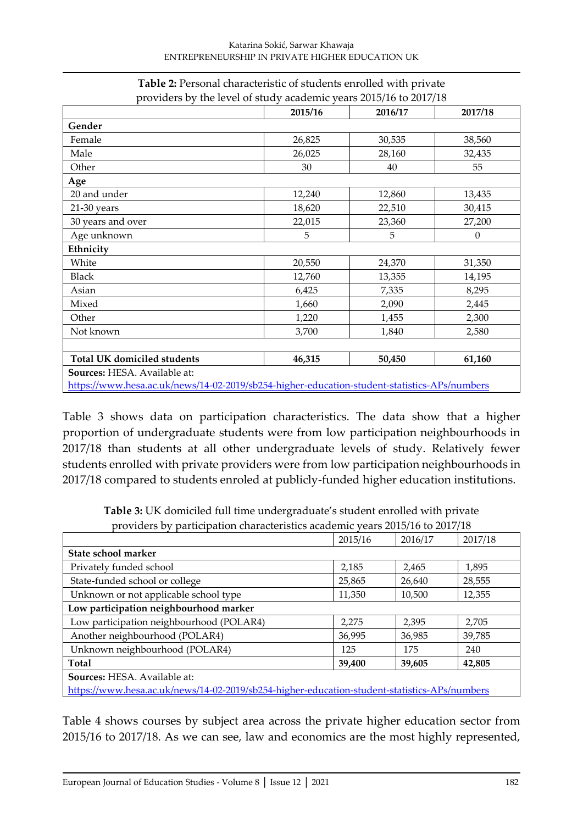|                                    | 2015/16 | 2016/17 | 2017/18          |
|------------------------------------|---------|---------|------------------|
| Gender                             |         |         |                  |
| Female                             | 26,825  | 30,535  | 38,560           |
| Male                               | 26,025  | 28,160  | 32,435           |
| Other                              | 30      | 40      | 55               |
| Age                                |         |         |                  |
| 20 and under                       | 12,240  | 12,860  | 13,435           |
| 21-30 years                        | 18,620  | 22,510  | 30,415           |
| 30 years and over                  | 22,015  | 23,360  | 27,200           |
| Age unknown                        | 5       | 5       | $\boldsymbol{0}$ |
| Ethnicity                          |         |         |                  |
| White                              | 20,550  | 24,370  | 31,350           |
| <b>Black</b>                       | 12,760  | 13,355  | 14,195           |
| Asian                              | 6,425   | 7,335   | 8,295            |
| Mixed                              | 1,660   | 2,090   | 2,445            |
| Other                              | 1,220   | 1,455   | 2,300            |
| Not known                          | 3,700   | 1,840   | 2,580            |
|                                    |         |         |                  |
| <b>Total UK domiciled students</b> | 46,315  | 50,450  | 61,160           |

#### **Table 2:** Personal characteristic of students enrolled with private providers by the level of study academic years 2015/16 to 2017/18

<https://www.hesa.ac.uk/news/14-02-2019/sb254-higher-education-student-statistics-APs/numbers>

Table 3 shows data on participation characteristics. The data show that a higher proportion of undergraduate students were from low participation neighbourhoods in 2017/18 than students at all other undergraduate levels of study. Relatively fewer students enrolled with private providers were from low participation neighbourhoods in 2017/18 compared to students enroled at publicly-funded higher education institutions.

**Table 3:** UK domiciled full time undergraduate's student enrolled with private providers by participation characteristics academic years 2015/16 to 2017/18

|                                                                                              | 2015/16 | 2016/17 | 2017/18 |
|----------------------------------------------------------------------------------------------|---------|---------|---------|
| State school marker                                                                          |         |         |         |
| Privately funded school                                                                      | 2,185   | 2,465   | 1,895   |
| State-funded school or college                                                               | 25,865  | 26,640  | 28,555  |
| Unknown or not applicable school type                                                        | 11,350  | 10,500  | 12,355  |
| Low participation neighbourhood marker                                                       |         |         |         |
| Low participation neighbourhood (POLAR4)                                                     | 2,275   | 2,395   | 2,705   |
| Another neighbourhood (POLAR4)                                                               | 36,995  | 36,985  | 39,785  |
| Unknown neighbourhood (POLAR4)                                                               | 125     | 175     | 240     |
| Total                                                                                        | 39,400  | 39,605  | 42,805  |
| Sources: HESA. Available at:                                                                 |         |         |         |
| https://www.hesa.ac.uk/news/14-02-2019/sb254-higher-education-student-statistics-APs/numbers |         |         |         |

Table 4 shows courses by subject area across the private higher education sector from 2015/16 to 2017/18. As we can see, law and economics are the most highly represented,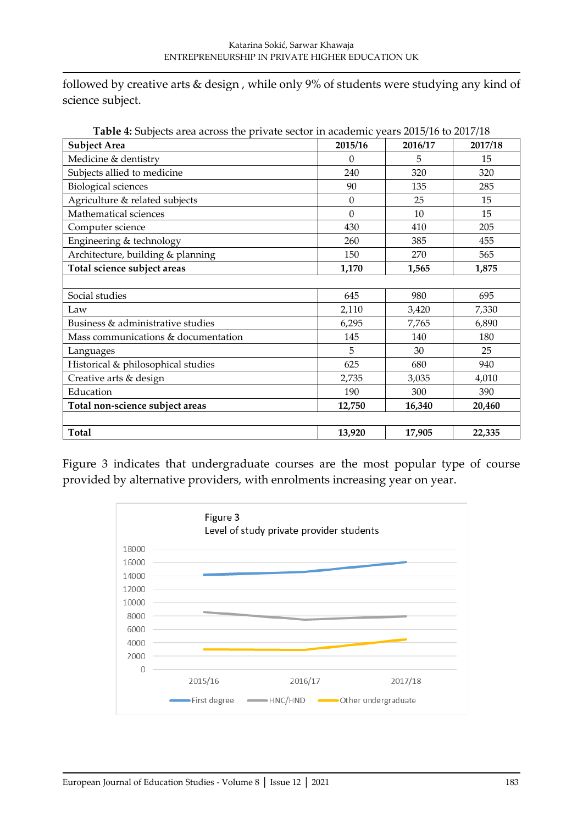followed by creative arts & design , while only 9% of students were studying any kind of science subject.

| <b>Subject Area</b>                 | 2015/16  | 2016/17 | 2017/18 |
|-------------------------------------|----------|---------|---------|
| Medicine & dentistry                | $\Omega$ | 5       | 15      |
| Subjects allied to medicine         | 240      | 320     | 320     |
| <b>Biological sciences</b>          | 90       | 135     | 285     |
| Agriculture & related subjects      | $\Omega$ | 25      | 15      |
| Mathematical sciences               | $\Omega$ | 10      | 15      |
| Computer science                    | 430      | 410     | 205     |
| Engineering & technology            | 260      | 385     | 455     |
| Architecture, building & planning   | 150      | 270     | 565     |
| Total science subject areas         | 1,170    | 1,565   | 1,875   |
|                                     |          |         |         |
| Social studies                      | 645      | 980     | 695     |
| Law                                 | 2,110    | 3,420   | 7,330   |
| Business & administrative studies   | 6,295    | 7,765   | 6,890   |
| Mass communications & documentation | 145      | 140     | 180     |
| Languages                           | 5        | 30      | 25      |
| Historical & philosophical studies  | 625      | 680     | 940     |
| Creative arts & design              | 2,735    | 3,035   | 4,010   |
| Education                           | 190      | 300     | 390     |
| Total non-science subject areas     | 12,750   | 16,340  | 20,460  |
|                                     |          |         |         |
| Total                               | 13,920   | 17,905  | 22,335  |

**Table 4:** Subjects area across the private sector in academic years 2015/16 to 2017/18

Figure 3 indicates that undergraduate courses are the most popular type of course provided by alternative providers, with enrolments increasing year on year.

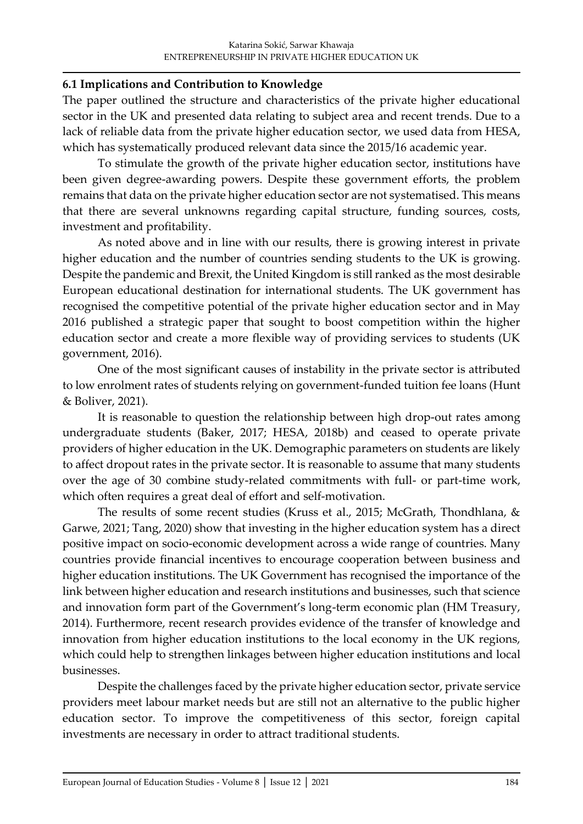### **6.1 Implications and Contribution to Knowledge**

The paper outlined the structure and characteristics of the private higher educational sector in the UK and presented data relating to subject area and recent trends. Due to a lack of reliable data from the private higher education sector, we used data from HESA, which has systematically produced relevant data since the 2015/16 academic year.

To stimulate the growth of the private higher education sector, institutions have been given degree-awarding powers. Despite these government efforts, the problem remains that data on the private higher education sector are not systematised. This means that there are several unknowns regarding capital structure, funding sources, costs, investment and profitability.

As noted above and in line with our results, there is growing interest in private higher education and the number of countries sending students to the UK is growing. Despite the pandemic and Brexit, the United Kingdom is still ranked as the most desirable European educational destination for international students. The UK government has recognised the competitive potential of the private higher education sector and in May 2016 published a strategic paper that sought to boost competition within the higher education sector and create a more flexible way of providing services to students (UK government, 2016).

One of the most significant causes of instability in the private sector is attributed to low enrolment rates of students relying on government-funded tuition fee loans (Hunt & Boliver, 2021).

It is reasonable to question the relationship between high drop-out rates among undergraduate students (Baker, 2017; HESA, 2018b) and ceased to operate private providers of higher education in the UK. Demographic parameters on students are likely to affect dropout rates in the private sector. It is reasonable to assume that many students over the age of 30 combine study-related commitments with full- or part-time work, which often requires a great deal of effort and self-motivation.

The results of some recent studies (Kruss et al., 2015; McGrath, Thondhlana, & Garwe, 2021; Tang, 2020) show that investing in the higher education system has a direct positive impact on socio-economic development across a wide range of countries. Many countries provide financial incentives to encourage cooperation between business and higher education institutions. The UK Government has recognised the importance of the link between higher education and research institutions and businesses, such that science and innovation form part of the Government's long-term economic plan (HM Treasury, 2014). Furthermore, recent research provides evidence of the transfer of knowledge and innovation from higher education institutions to the local economy in the UK regions, which could help to strengthen linkages between higher education institutions and local businesses.

Despite the challenges faced by the private higher education sector, private service providers meet labour market needs but are still not an alternative to the public higher education sector. To improve the competitiveness of this sector, foreign capital investments are necessary in order to attract traditional students.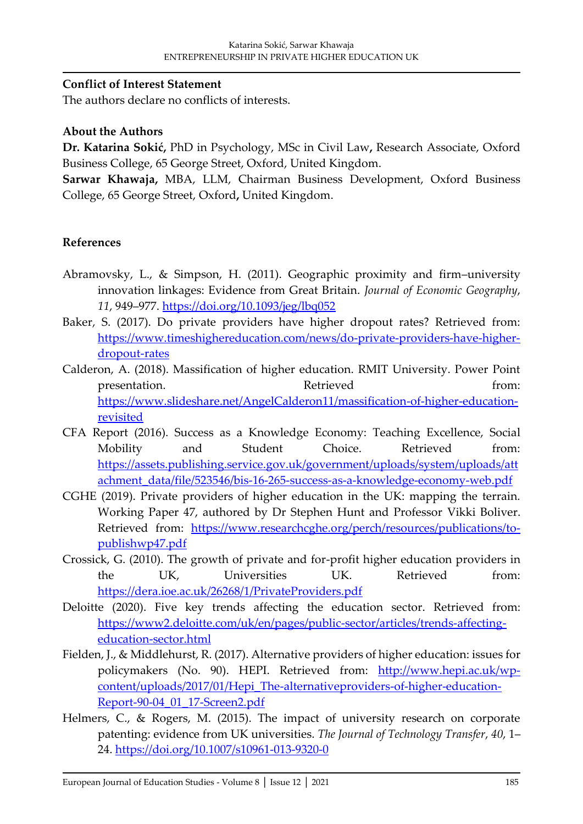#### **Conflict of Interest Statement**

The authors declare no conflicts of interests.

#### **About the Authors**

**Dr. Katarina Sokić,** PhD in Psychology, MSc in Civil Law**,** Research Associate, Oxford Business College, 65 George Street, Oxford, United Kingdom.

**Sarwar Khawaja,** MBA, LLM, Chairman Business Development, Oxford Business College, 65 George Street, Oxford**,** United Kingdom.

### **References**

- Abramovsky, L., & Simpson, H. (2011). Geographic proximity and firm–university innovation linkages: Evidence from Great Britain. *Journal of Economic Geography*, *11*, 949–977.<https://doi.org/10.1093/jeg/lbq052>
- Baker, S. (2017). Do private providers have higher dropout rates? Retrieved from: [https://www.timeshighereducation.com/news/do-private-providers-have-higher](https://www.timeshighereducation.com/news/do-private-providers-have-higher-dropout-rates)[dropout-rates](https://www.timeshighereducation.com/news/do-private-providers-have-higher-dropout-rates)
- Calderon, A. (2018). Massification of higher education. RMIT University. Power Point presentation. Retrieved from: [https://www.slideshare.net/AngelCalderon11/massification-of-higher-education](https://www.slideshare.net/AngelCalderon11/massification-of-higher-education-revisited)[revisited](https://www.slideshare.net/AngelCalderon11/massification-of-higher-education-revisited)
- CFA Report (2016). Success as a Knowledge Economy: Teaching Excellence, Social Mobility and Student Choice. Retrieved from: [https://assets.publishing.service.gov.uk/government/uploads/system/uploads/att](https://assets.publishing.service.gov.uk/government/uploads/system/uploads/attachment_data/file/523546/bis-16-265-success-as-a-knowledge-economy-web.pdf) [achment\\_data/file/523546/bis-16-265-success-as-a-knowledge-economy-web.pdf](https://assets.publishing.service.gov.uk/government/uploads/system/uploads/attachment_data/file/523546/bis-16-265-success-as-a-knowledge-economy-web.pdf)
- CGHE (2019). Private providers of higher education in the UK: mapping the terrain. Working Paper 47, authored by Dr Stephen Hunt and Professor Vikki Boliver. Retrieved from: [https://www.researchcghe.org/perch/resources/publications/to](https://www.researchcghe.org/perch/resources/publications/to-publishwp47.pdf)[publishwp47.pdf](https://www.researchcghe.org/perch/resources/publications/to-publishwp47.pdf)
- Crossick, G. (2010). The growth of private and for-profit higher education providers in the UK, Universities UK. Retrieved from: <https://dera.ioe.ac.uk/26268/1/PrivateProviders.pdf>
- Deloitte (2020). Five key trends affecting the education sector. Retrieved from: [https://www2.deloitte.com/uk/en/pages/public-sector/articles/trends-affecting](https://www2.deloitte.com/uk/en/pages/public-sector/articles/trends-affecting-education-sector.html)[education-sector.html](https://www2.deloitte.com/uk/en/pages/public-sector/articles/trends-affecting-education-sector.html)
- Fielden, J., & Middlehurst, R. (2017). Alternative providers of higher education: issues for policymakers (No. 90). HEPI. Retrieved from: [http://www.hepi.ac.uk/wp](http://www.hepi.ac.uk/wp-content/uploads/2017/01/Hepi_The-alternativeproviders-of-higher-education-Report-90-04_01_17-Screen2.pdf)[content/uploads/2017/01/Hepi\\_The-alternativeproviders-of-higher-education-](http://www.hepi.ac.uk/wp-content/uploads/2017/01/Hepi_The-alternativeproviders-of-higher-education-Report-90-04_01_17-Screen2.pdf)[Report-90-04\\_01\\_17-Screen2.pdf](http://www.hepi.ac.uk/wp-content/uploads/2017/01/Hepi_The-alternativeproviders-of-higher-education-Report-90-04_01_17-Screen2.pdf)
- Helmers, C., & Rogers, M. (2015). The impact of university research on corporate patenting: evidence from UK universities. *The Journal of Technology Transfer*, *40*, 1– 24.<https://doi.org/10.1007/s10961-013-9320-0>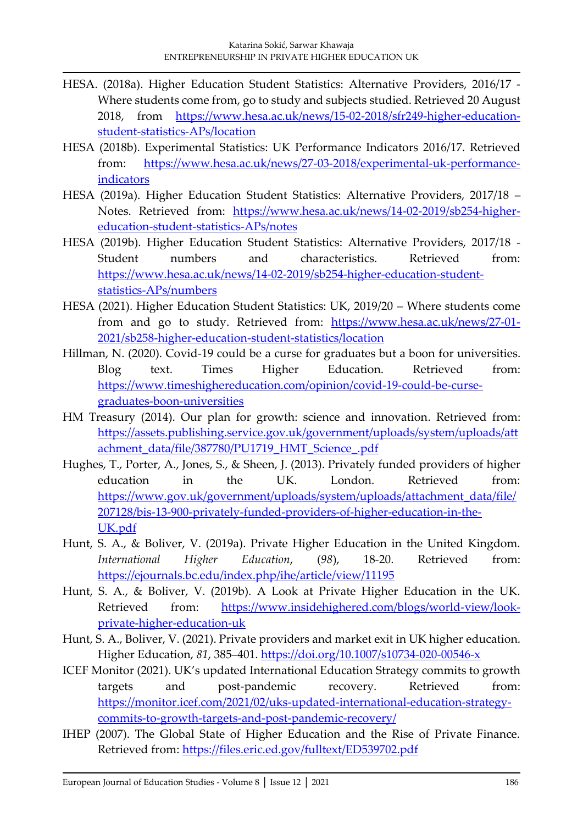- HESA. (2018a). Higher Education Student Statistics: Alternative Providers, 2016/17 Where students come from, go to study and subjects studied. Retrieved 20 August 2018, from [https://www.hesa.ac.uk/news/15-02-2018/sfr249-higher-education](https://www.hesa.ac.uk/news/15-02-2018/sfr249-higher-education-student-statistics-APs/location)[student-statistics-APs/location](https://www.hesa.ac.uk/news/15-02-2018/sfr249-higher-education-student-statistics-APs/location)
- HESA (2018b). Experimental Statistics: UK Performance Indicators 2016/17. Retrieved from: [https://www.hesa.ac.uk/news/27-03-2018/experimental-uk-performance](https://www.hesa.ac.uk/news/27-03-2018/experimental-uk-performance-indicators)[indicators](https://www.hesa.ac.uk/news/27-03-2018/experimental-uk-performance-indicators)
- HESA (2019a). Higher Education Student Statistics: Alternative Providers, 2017/18 Notes. Retrieved from: [https://www.hesa.ac.uk/news/14-02-2019/sb254-higher](https://www.hesa.ac.uk/news/14-02-2019/sb254-higher-education-student-statistics-APs/notes)[education-student-statistics-APs/notes](https://www.hesa.ac.uk/news/14-02-2019/sb254-higher-education-student-statistics-APs/notes)
- HESA (2019b). Higher Education Student Statistics: Alternative Providers, 2017/18 Student numbers and characteristics. Retrieved from: [https://www.hesa.ac.uk/news/14-02-2019/sb254-higher-education-student](https://www.hesa.ac.uk/news/14-02-2019/sb254-higher-education-student-statistics-APs/numbers)[statistics-APs/numbers](https://www.hesa.ac.uk/news/14-02-2019/sb254-higher-education-student-statistics-APs/numbers)
- HESA (2021). Higher Education Student Statistics: UK, 2019/20 Where students come from and go to study. Retrieved from: [https://www.hesa.ac.uk/news/27-01-](https://www.hesa.ac.uk/news/27-01-2021/sb258-higher-education-student-statistics/location) [2021/sb258-higher-education-student-statistics/location](https://www.hesa.ac.uk/news/27-01-2021/sb258-higher-education-student-statistics/location)
- Hillman, N. (2020). Covid-19 could be a curse for graduates but a boon for universities. Blog text. Times Higher Education. Retrieved from: [https://www.timeshighereducation.com/opinion/covid-19-could-be-curse](https://www.timeshighereducation.com/opinion/covid-19-could-be-curse-graduates-boon-universities)[graduates-boon-universities](https://www.timeshighereducation.com/opinion/covid-19-could-be-curse-graduates-boon-universities)
- HM Treasury (2014). Our plan for growth: science and innovation. Retrieved from: [https://assets.publishing.service.gov.uk/government/uploads/system/uploads/att](https://assets.publishing.service.gov.uk/government/uploads/system/uploads/attachment_data/file/387780/PU1719_HMT_Science_.pdf) [achment\\_data/file/387780/PU1719\\_HMT\\_Science\\_.pdf](https://assets.publishing.service.gov.uk/government/uploads/system/uploads/attachment_data/file/387780/PU1719_HMT_Science_.pdf)
- Hughes, T., Porter, A., Jones, S., & Sheen, J. (2013). Privately funded providers of higher education in the UK. London. Retrieved from: [https://www.gov.uk/government/uploads/system/uploads/attachment\\_data/file/](https://www.gov.uk/government/uploads/system/uploads/attachment_data/file/207128/bis-13-900-privately-funded-providers-of-higher-education-in-the-UK.pdf) [207128/bis-13-900-privately-funded-providers-of-higher-education-in-the-](https://www.gov.uk/government/uploads/system/uploads/attachment_data/file/207128/bis-13-900-privately-funded-providers-of-higher-education-in-the-UK.pdf)[UK.pdf](https://www.gov.uk/government/uploads/system/uploads/attachment_data/file/207128/bis-13-900-privately-funded-providers-of-higher-education-in-the-UK.pdf)
- Hunt, S. A., & Boliver, V. (2019a). Private Higher Education in the United Kingdom. *International Higher Education*, (*98*), 18-20. Retrieved from: <https://ejournals.bc.edu/index.php/ihe/article/view/11195>
- Hunt, S. A., & Boliver, V. (2019b). A Look at Private Higher Education in the UK. Retrieved from: [https://www.insidehighered.com/blogs/world-view/look](https://www.insidehighered.com/blogs/world-view/look-private-higher-education-uk)[private-higher-education-uk](https://www.insidehighered.com/blogs/world-view/look-private-higher-education-uk)
- Hunt, S. A., Boliver, V. (2021). Private providers and market exit in UK higher education. Higher Education, *81*, 385–401.<https://doi.org/10.1007/s10734-020-00546-x>
- ICEF Monitor (2021). UK's updated International Education Strategy commits to growth targets and post-pandemic recovery. Retrieved from: [https://monitor.icef.com/2021/02/uks-updated-international-education-strategy](https://monitor.icef.com/2021/02/uks-updated-international-education-strategy-commits-to-growth-targets-and-post-pandemic-recovery/)[commits-to-growth-targets-and-post-pandemic-recovery/](https://monitor.icef.com/2021/02/uks-updated-international-education-strategy-commits-to-growth-targets-and-post-pandemic-recovery/)
- IHEP (2007). The Global State of Higher Education and the Rise of Private Finance. Retrieved from:<https://files.eric.ed.gov/fulltext/ED539702.pdf>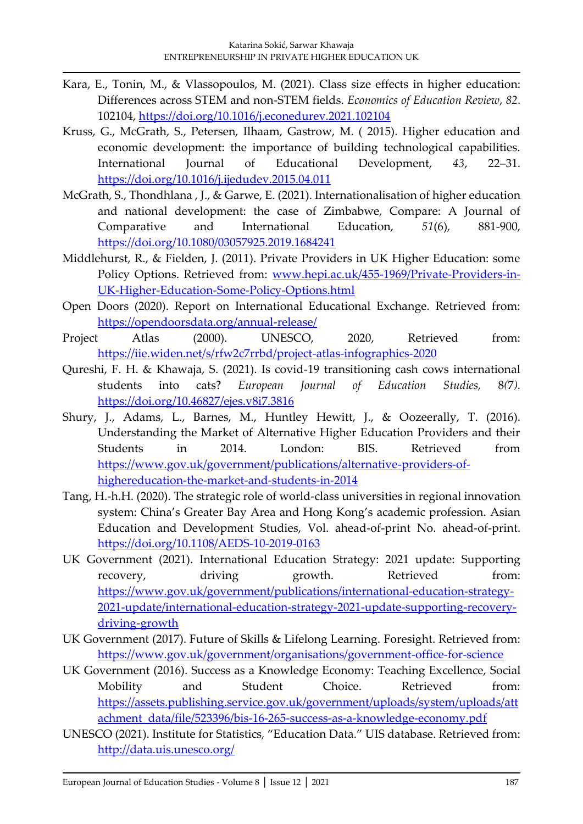- Kara, E., Tonin, M., & Vlassopoulos, M. (2021). Class size effects in higher education: Differences across STEM and non-STEM fields. *Economics of Education Review*, *82*. 102104,<https://doi.org/10.1016/j.econedurev.2021.102104>
- Kruss, G., McGrath, S., Petersen, Ilhaam, Gastrow, M. ( 2015). Higher education and economic development: the importance of building technological capabilities. International Journal of Educational Development, *43*, 22–31. <https://doi.org/10.1016/j.ijedudev.2015.04.011>
- McGrath, S., Thondhlana , J., & Garwe, E. (2021). Internationalisation of higher education and national development: the case of Zimbabwe, Compare: A Journal of Comparative and International Education, *51*(6), 881-900, <https://doi.org/10.1080/03057925.2019.1684241>
- Middlehurst, R., & Fielden, J. (2011). Private Providers in UK Higher Education: some Policy Options. Retrieved from: [www.hepi.ac.uk/455-1969/Private-Providers-in-](http://www.hepi.ac.uk/455-1969/Private-Providers-in-UK-Higher-Education-Some-Policy-Options.html)[UK-Higher-Education-Some-Policy-Options.html](http://www.hepi.ac.uk/455-1969/Private-Providers-in-UK-Higher-Education-Some-Policy-Options.html)
- Open Doors (2020). Report on International Educational Exchange. Retrieved from: <https://opendoorsdata.org/annual-release/>
- Project Atlas (2000). UNESCO, 2020, Retrieved from: <https://iie.widen.net/s/rfw2c7rrbd/project-atlas-infographics-2020>
- Qureshi, F. H. & Khawaja, S. (2021). Is covid-19 transitioning cash cows international students into cats? *European Journal of Education Studies,* 8*(*7*).* <https://doi.org/10.46827/ejes.v8i7.3816>
- Shury, J., Adams, L., Barnes, M., Huntley Hewitt, J., & Oozeerally, T. (2016). Understanding the Market of Alternative Higher Education Providers and their Students in 2014. London: BIS. Retrieved from [https://www.gov.uk/government/publications/alternative-providers-of](https://www.gov.uk/government/publications/alternative-providers-of-highereducation-the-market-and-students-in-2014)[highereducation-the-market-and-students-in-2014](https://www.gov.uk/government/publications/alternative-providers-of-highereducation-the-market-and-students-in-2014)
- Tang, H.-h.H. (2020). The strategic role of world-class universities in regional innovation system: China's Greater Bay Area and Hong Kong's academic profession. Asian Education and Development Studies, Vol. ahead-of-print No. ahead-of-print. <https://doi.org/10.1108/AEDS-10-2019-0163>
- UK Government (2021). International Education Strategy: 2021 update: Supporting recovery*,* driving growth. Retrieved from: [https://www.gov.uk/government/publications/international-education-strategy-](https://www.gov.uk/government/publications/international-education-strategy-2021-update/international-education-strategy-2021-update-supporting-recovery-driving-growth)[2021-update/international-education-strategy-2021-update-supporting-recovery](https://www.gov.uk/government/publications/international-education-strategy-2021-update/international-education-strategy-2021-update-supporting-recovery-driving-growth)[driving-growth](https://www.gov.uk/government/publications/international-education-strategy-2021-update/international-education-strategy-2021-update-supporting-recovery-driving-growth)
- UK Government (2017). Future of Skills & Lifelong Learning. Foresight. Retrieved from: <https://www.gov.uk/government/organisations/government-office-for-science>
- UK Government (2016). Success as a Knowledge Economy: Teaching Excellence, Social Mobility and Student Choice. Retrieved from: [https://assets.publishing.service.gov.uk/government/uploads/system/uploads/att](https://assets.publishing.service.gov.uk/government/uploads/system/uploads/attachment_data/file/523396/bis-16-265-success-as-a-knowledge-economy.pdf) [achment\\_data/file/523396/bis-16-265-success-as-a-knowledge-economy.pdf](https://assets.publishing.service.gov.uk/government/uploads/system/uploads/attachment_data/file/523396/bis-16-265-success-as-a-knowledge-economy.pdf)
- UNESCO (2021). Institute for Statistics, "Education Data." UIS database. Retrieved from: <http://data.uis.unesco.org/>